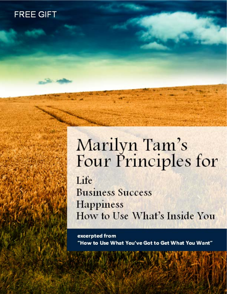### FREE GIFT

# Marilyn Tam's<br>Four Principles for Life

**Business Success Happiness** How to Use What's Inside You

excerpted from "How to Use What You've Got to Get What You Want"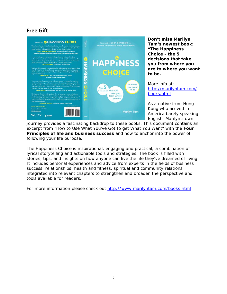#### **Free Gift**



*Don't miss Marilyn Tam's newest book: "The Happiness Choice - the 5 decisions that take you from where you are to where you want to be.* 

*More info at: [http://marilyntam.com/](http://marilyntam.com/books.html) [books.html](http://marilyntam.com/books.html)*

As a native from Hong Kong who arrived in America barely speaking English, Marilyn's own

journey provides a fascinating backdrop to these books. This document contains an excerpt from "How to Use What You've Got to get What You Want" with the *Four Principles of life and business success* and how to anchor into the power of following your life purpose.

*The Happiness Choice* is inspirational, engaging and practical; a combination of lyrical storytelling and actionable tools and strategies. The book is filled with stories, tips, and insights on how anyone can live the life they've dreamed of living. It includes personal experiences and advice from experts in the fields of business success, relationships, health and fitness, spiritual and community relations, integrated into relevant chapters to strengthen and broaden the perspective and tools available for readers.

For more information please check out <http://www.marilyntam.com/books.html>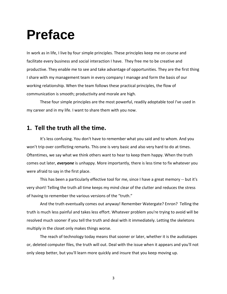### **Preface**

In work as in life, I live by four simple principles. These principles keep me on course and facilitate every business and social interaction I have. They free me to be creative and productive. They enable me to see and take advantage of opportunities. They are the first thing I share with my management team in every company I manage and form the basis of our working relationship. When the team follows these practical principles, the flow of communication is smooth; productivity and morale are high.

These four simple principles are the most powerful, readily adoptable tool I've used in my career and in my life. I want to share them with you now.

#### **1. Tell the truth all the time.**

It's less confusing. You don't have to remember what you said and to whom. And you won't trip over conflicting remarks. This one is very basic and also very hard to do at times. Oftentimes, we say what we think others want to hear to keep them happy. When the truth comes out later, *everyone* is unhappy. More importantly, there is less time to fix whatever you were afraid to say in the first place.

This has been a particularly effective tool for me, since I have a great memory -- but it's very short! Telling the truth all time keeps my mind clear of the clutter and reduces the stress of having to remember the various versions of the "truth."

And the truth eventually comes out anyway! Remember Watergate? Enron? Telling the truth is much less painful and takes less effort. Whatever problem you're trying to avoid will be resolved much sooner if you tell the truth and deal with it immediately. Letting the skeletons multiply in the closet only makes things worse.

The reach of technology today means that sooner or later, whether it is the audiotapes or, deleted computer files, the truth will out. Deal with the issue when it appears and you'll not only sleep better, but you'll learn more quickly and insure that you keep moving up.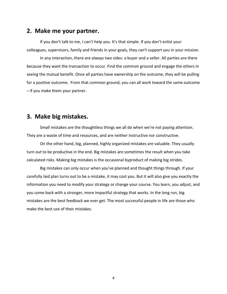#### **2. Make me your partner.**

If you don't talk to me, I can't help you. It's that simple. If you don't enlist your colleagues, supervisors, family and friends in your goals, they can't support you in your mission.

In any interaction, there are always two sides: a buyer and a seller. All parties are there because they want the transaction to occur. Find the common ground and engage the others in seeing the mutual benefit. Once all parties have ownership on the outcome, they will be pulling for a positive outcome. From that common ground, you can all work toward the same outcome – if you make them your partner.

#### **3. Make big mistakes.**

Small mistakes are the thoughtless things we all do when we're not paying attention. They are a waste of time and resources, and are neither instructive nor constructive.

On the other hand, big, planned, highly organized mistakes are valuable. They usually turn out to be productive in the end. Big mistakes are sometimes the result when you take calculated risks. Making big mistakes is the occasional byproduct of making big strides.

Big mistakes can only occur when you've planned and thought things through. If your carefully laid plan turns out to be a mistake, it may cost you. But it will also give you exactly the information you need to modify your strategy or change your course. You learn, you adjust, and you come back with a stronger, more impactful strategy that works. In the long run, big mistakes are the best feedback we ever get. The most successful people in life are those who make the best use of their mistakes.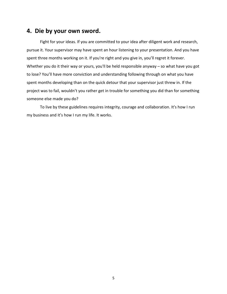#### **4. Die by your own sword.**

Fight for your ideas. If you are committed to your idea after diligent work and research, pursue it. Your supervisor may have spent an hour listening to your presentation. And you have spent three months working on it. If you're right and you give in, you'll regret it forever. Whether you do it their way or yours, you'll be held responsible anyway – so what have you got to lose? You'll have more conviction and understanding following through on what you have spent months developing than on the quick detour that your supervisor just threw in. If the project was to fail, wouldn't you rather get in trouble for something you did than for something someone else made you do?

To live by these guidelines requires integrity, courage and collaboration. It's how I run my business and it's how I run my life. It works.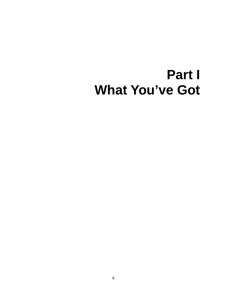### **Part I What You've Got**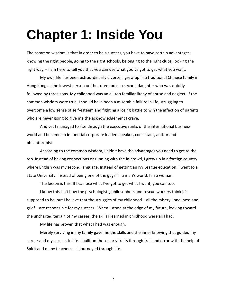## **Chapter 1: Inside You**

The common wisdom is that in order to be a success, you have to have certain advantages: knowing the right people, going to the right schools, belonging to the right clubs, looking the right way -- I am here to tell you that you can use what you've got to get what you want.

My own life has been extraordinarily diverse. I grew up in a traditional Chinese family in Hong Kong as the lowest person on the totem pole: a second daughter who was quickly followed by three sons. My childhood was an all-too familiar litany of abuse and neglect. If the common wisdom were true, I should have been a miserable failure in life, struggling to overcome a low sense of self-esteem and fighting a losing battle to win the affection of parents who are never going to give me the acknowledgement I crave.

And yet I managed to rise through the executive ranks of the international business world and become an influential corporate leader, speaker, consultant, author and philanthropist.

According to the common wisdom, I didn't have the advantages you need to get to the top. Instead of having connections or running with the in-crowd, I grew up in a foreign country where English was my second language. Instead of getting an Ivy League education, I went to a State University. Instead of being one of the guys' in a man's world, I'm a woman.

The lesson is this: If I can use what I've got to get what I want, you can too.

I know this isn't how the psychologists, philosophers and rescue workers think it's supposed to be, but I believe that the struggles of my childhood – all the misery, loneliness and grief – are responsible for my success. When I stood at the edge of my future, looking toward the uncharted terrain of my career, the skills I learned in childhood were all I had.

My life has proven that what I had was enough.

Merely surviving in my family gave me the skills and the inner knowing that guided my career and my success in life. I built on those early traits through trail and error with the help of Spirit and many teachers as I journeyed through life.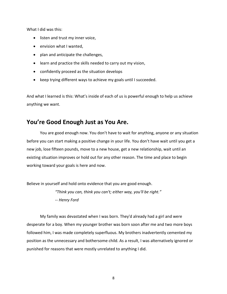What I did was this:

- listen and trust my inner voice,
- envision what I wanted,
- plan and anticipate the challenges,
- learn and practice the skills needed to carry out my vision,
- confidently proceed as the situation develops
- keep trying different ways to achieve my goals until I succeeded.

And what I learned is this: What's inside of each of us is powerful enough to help us achieve anything we want.

#### **You're Good Enough Just as You Are.**

You are good enough now. You don't have to wait for anything, anyone or any situation before you can start making a positive change in your life. You don't have wait until you get a new job, lose fifteen pounds, move to a new house, get a new relationship, wait until an existing situation improves or hold out for any other reason. The time and place to begin working toward your goals is here and now.

Believe in yourself and hold onto evidence that you are good enough.

*"Think you can, think you can't; either way, you'll be right." -- Henry Ford* 

My family was devastated when I was born. They'd already had a girl and were desperate for a boy. When my younger brother was born soon after me and two more boys followed him, I was made completely superfluous. My brothers inadvertently cemented my position as the unnecessary and bothersome child. As a result, I was alternatively ignored or punished for reasons that were mostly unrelated to anything I did.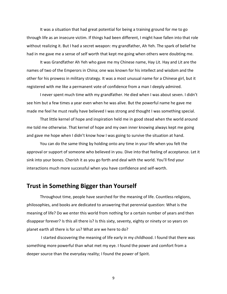It was a situation that had great potential for being a training ground for me to go through life as an insecure victim. If things had been different, I might have fallen into that role without realizing it. But I had a secret weapon: my grandfather, Ah Yeh. The spark of belief he had in me gave me a sense of self worth that kept me going when others were doubting me.

It was Grandfather Ah Yeh who gave me my Chinese name, Hay Lit. Hay and Lit are the names of two of the Emperors in China; one was known for his intellect and wisdom and the other for his prowess in military strategy. It was a most unusual name for a Chinese girl, but it registered with me like a permanent vote of confidence from a man I deeply admired.

I never spent much time with my grandfather. He died when I was about seven. I didn't see him but a few times a year even when he was alive. But the powerful name he gave me made me feel he must really have believed I was strong and thought I was something special.

That little kernel of hope and inspiration held me in good stead when the world around me told me otherwise. That kernel of hope and my own inner knowing always kept me going and gave me hope when I didn't know how I was going to survive the situation at hand.

You can do the same thing by holding onto any time in your life when you felt the approval or support of someone who believed in you. Dive into that feeling of acceptance. Let it sink into your bones. Cherish it as you go forth and deal with the world. You'll find your interactions much more successful when you have confidence and self-worth.

#### **Trust in Something Bigger than Yourself**

Throughout time, people have searched for the meaning of life. Countless religions, philosophies, and books are dedicated to answering that perennial question: What is the meaning of life? Do we enter this world from nothing for a certain number of years and then disappear forever? Is this all there is? Is this sixty, seventy, eighty or ninety or so years on planet earth all there is for us? What are we here to do?

I started discovering the meaning of life early in my childhood. I found that there was something more powerful than what met my eye. I found the power and comfort from a deeper source than the everyday reality; I found the power of Spirit.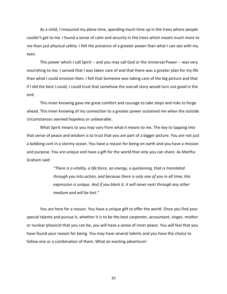As a child, I treasured my alone time, spending much time up in the trees where people couldn't get to me. I found a sense of calm and security in the trees which meant much more to me than just physical safety. I felt the presence of a greater power than what I can see with my eyes.

This power which I call Spirit -- and you may call God or the Universal Power -- was very nourishing to me. I sensed that I was taken care of and that there was a greater plan for my life than what I could envision then. I felt that Someone was taking care of the big picture and that if I did the best I could, I could trust that somehow the overall story would turn out good in the end.

This inner knowing gave me great comfort and courage to take steps and risks to forge ahead. This inner knowing of my connection to a greater power sustained me when the outside circumstances seemed hopeless or unbearable.

What Spirit means to you may vary from what it means to me. The key to tapping into that sense of peace and wisdom is to trust that you are part of a bigger picture. You are not just a bobbing cork in a stormy ocean. You have a reason for being on earth and you have a mission and purpose. You are unique and have a gift for the world that only you can share. As Martha Graham said:

> *"There is a vitality, a life force, an energy, a quickening, that is translated through you into action, and because there is only one of you in all time, this expression is unique. And if you block it, it will never exist through any other medium and will be lost."*

You are here for a reason. You have a unique gift to offer the world. Once you find your special talents and pursue it, whether it is to be the best carpenter, accountant, singer, mother or nuclear physicist that you can be, you will have a sense of inner peace. You will feel that you have found your reason for being. You may have several talents and you have the choice to follow one or a combination of them. What an exciting adventure!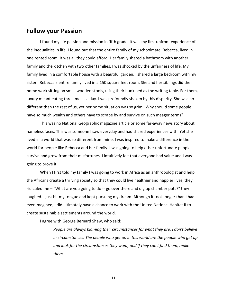#### **Follow your Passion**

I found my life passion and mission in fifth grade. It was my first upfront experience of the inequalities in life. I found out that the entire family of my schoolmate, Rebecca, lived in one rented room. It was all they could afford. Her family shared a bathroom with another family and the kitchen with two other families. I was shocked by the unfairness of life. My family lived in a comfortable house with a beautiful garden. I shared a large bedroom with my sister. Rebecca's entire family lived in a 150 square feet room. She and her siblings did their home work sitting on small wooden stools, using their bunk bed as the writing table. For them, luxury meant eating three meals a day. I was profoundly shaken by this disparity. She was no different than the rest of us, yet her home situation was so grim. Why should some people have so much wealth and others have to scrape by and survive on such meager terms?

This was no National Geographic magazine article or some far-away news story about nameless faces. This was someone I saw everyday and had shared experiences with. Yet she lived in a world that was so different from mine. I was inspired to make a difference in the world for people like Rebecca and her family. I was going to help other unfortunate people survive and grow from their misfortunes. I intuitively felt that everyone had value and I was going to prove it.

When I first told my family I was going to work in Africa as an anthropologist and help the Africans create a thriving society so that they could live healthier and happier lives, they ridiculed me – "What are you going to do -- go over there and dig up chamber pots?" they laughed. I just bit my tongue and kept pursuing my dream. Although it took longer than I had ever imagined, I did ultimately have a chance to work with the United Nations' Habitat II to create sustainable settlements around the world.

I agree with George Bernard Shaw, who said:

*People are always blaming their circumstances for what they are. I don't believe*  in circumstances. The people who get on in this world are the people who get up *and look for the circumstances they want, and if they can't find them, make them.*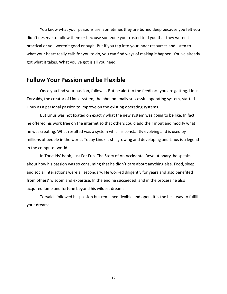You know what your passions are. Sometimes they are buried deep because you felt you didn't deserve to follow them or because someone you trusted told you that they weren't practical or you weren't good enough. But if you tap into your inner resources and listen to what your heart really calls for you to do, you can find ways of making it happen. You've already got what it takes. What you've got is all you need.

#### **Follow Your Passion and be Flexible**

Once you find your passion, follow it. But be alert to the feedback you are getting. Linus Torvalds, the creator of Linux system, the phenomenally successful operating system, started Linux as a personal passion to improve on the existing operating systems.

But Linus was not fixated on exactly what the new system was going to be like. In fact, he offered his work free on the internet so that others could add their input and modify what he was creating. What resulted was a system which is constantly evolving and is used by millions of people in the world. Today Linux is still growing and developing and Linus is a legend in the computer world.

In Torvalds' book, Just For Fun, The Story of An Accidental Revolutionary, he speaks about how his passion was so consuming that he didn't care about anything else. Food, sleep and social interactions were all secondary. He worked diligently for years and also benefited from others' wisdom and expertise. In the end he succeeded, and in the process he also acquired fame and fortune beyond his wildest dreams.

Torvalds followed his passion but remained flexible and open. It is the best way to fulfill your dreams.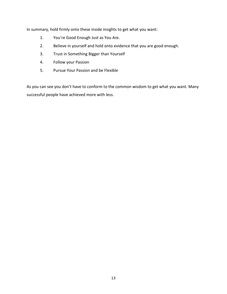In summary, hold firmly onto these inside insights to get what you want:

- 1. You're Good Enough Just as You Are.
- 2. Believe in yourself and hold onto evidence that you are good enough.
- 3. Trust in Something Bigger than Yourself
- 4. Follow your Passion
- 5. Pursue Your Passion and be Flexible

As you can see you don't have to conform to the common wisdom to get what you want. Many successful people have achieved more with less.